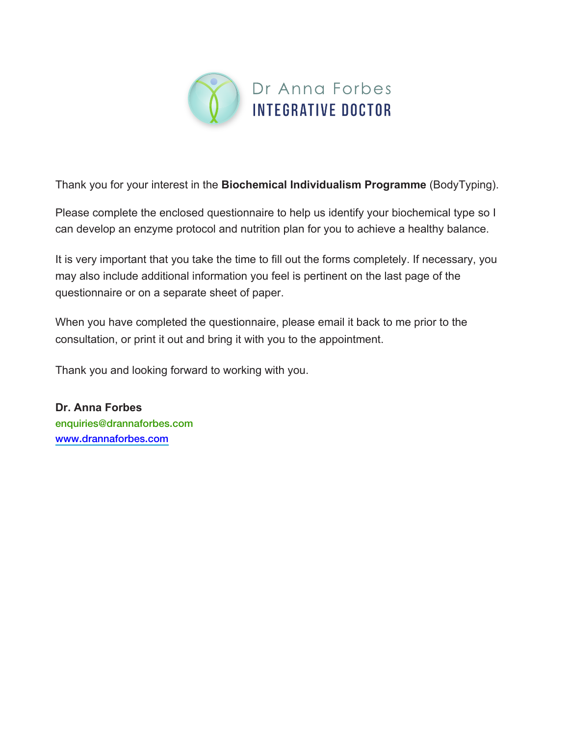

Thank you for your interest in the **Biochemical Individualism Programme** (BodyTyping).

Please complete the enclosed questionnaire to help us identify your biochemical type so I can develop an enzyme protocol and nutrition plan for you to achieve a healthy balance.

It is very important that you take the time to fill out the forms completely. If necessary, you may also include additional information you feel is pertinent on the last page of the questionnaire or on a separate sheet of paper.

When you have completed the questionnaire, please email it back to me prior to the consultation, or print it out and bring it with you to the appointment.

Thank you and looking forward to working with you.

**Dr. Anna Forbes**  enquiries@drannaforbes.com <www.drannaforbes.com>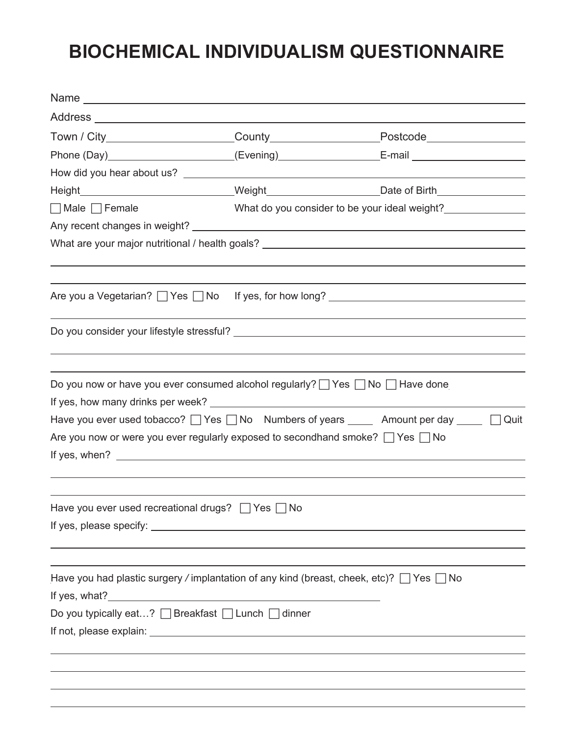# **BIOCHEMICAL INDIVIDUALISM QUESTIONNAIRE**

|                                                                                          | Town / City_______________________County_________________________Postcode__________________________  |
|------------------------------------------------------------------------------------------|------------------------------------------------------------------------------------------------------|
|                                                                                          | Phone (Day)_______________________(Evening)_______________________E-mail ___________________________ |
|                                                                                          |                                                                                                      |
|                                                                                          | Height_______________________________Weight_________________________Date of Birth__________________  |
| $\Box$ Male $\Box$ Female                                                                | What do you consider to be your ideal weight?                                                        |
|                                                                                          |                                                                                                      |
|                                                                                          | What are your major nutritional / health goals? _________________________________                    |
|                                                                                          |                                                                                                      |
|                                                                                          |                                                                                                      |
|                                                                                          |                                                                                                      |
| Do you now or have you ever consumed alcohol regularly? □ Yes □ No □ Have done           |                                                                                                      |
|                                                                                          |                                                                                                      |
|                                                                                          | Have you ever used tobacco? 2 Yes 2No Numbers of years 200 Amount per day 200 200 Nuit               |
| Are you now or were you ever regularly exposed to secondhand smoke? $\Box$ Yes $\Box$ No |                                                                                                      |
|                                                                                          |                                                                                                      |
|                                                                                          |                                                                                                      |
| Have you ever used recreational drugs? □ Yes □ No                                        |                                                                                                      |
|                                                                                          |                                                                                                      |
|                                                                                          |                                                                                                      |
|                                                                                          |                                                                                                      |
| Have you had plastic surgery / implantation of any kind (breast, cheek, etc)? △ Yes △ No |                                                                                                      |
|                                                                                          |                                                                                                      |
| Do you typically eat? □ Breakfast □ Lunch □ dinner                                       |                                                                                                      |
|                                                                                          |                                                                                                      |
|                                                                                          |                                                                                                      |
|                                                                                          |                                                                                                      |
|                                                                                          |                                                                                                      |
|                                                                                          |                                                                                                      |
|                                                                                          |                                                                                                      |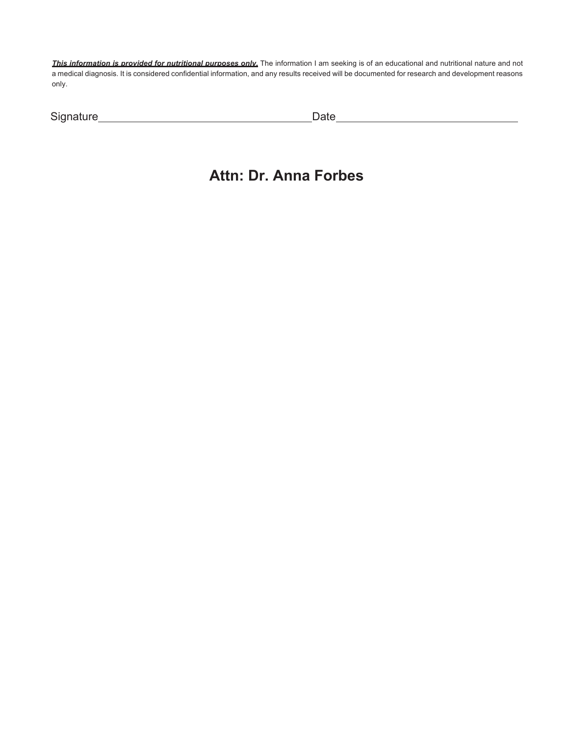*This information is provided for nutritional purposes only.* The information I am seeking is of an educational and nutritional nature and not a medical diagnosis. It is considered confidential information, and any results received will be documented for research and development reasons only.

| Signature | )ate |
|-----------|------|
|           |      |

#### **Attn: Dr. Anna Forbes**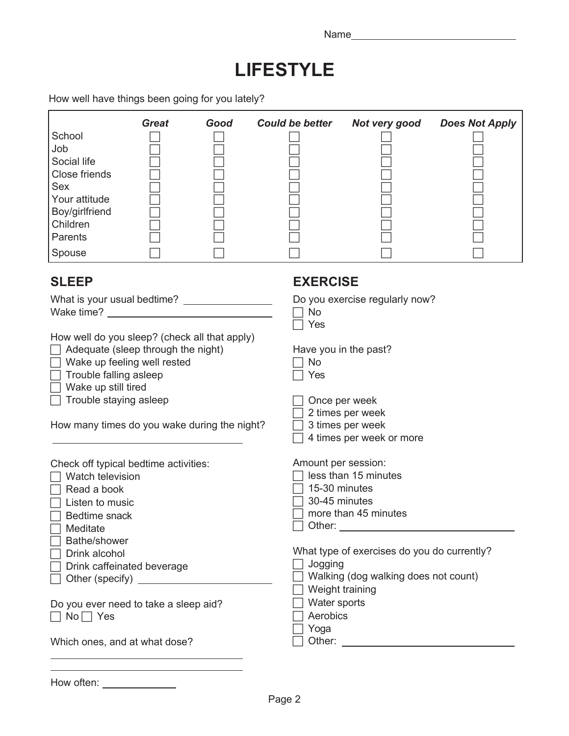#### **LIFESTYLE**

How well have things been going for you lately?

| School<br>Job<br>Social life<br>Close friends<br>Sex<br>Your attitude<br>Boy/girlfriend<br>Children<br>Parents<br>Spouse                                                                                                                                                                                                                                                                  | <b>Great</b> | Good                                                | <b>Could be better</b>                                                                                             | Not very good                                                                                                                                                                                | <b>Does Not Apply</b> |
|-------------------------------------------------------------------------------------------------------------------------------------------------------------------------------------------------------------------------------------------------------------------------------------------------------------------------------------------------------------------------------------------|--------------|-----------------------------------------------------|--------------------------------------------------------------------------------------------------------------------|----------------------------------------------------------------------------------------------------------------------------------------------------------------------------------------------|-----------------------|
| <b>SLEEP</b>                                                                                                                                                                                                                                                                                                                                                                              |              |                                                     | <b>EXERCISE</b>                                                                                                    |                                                                                                                                                                                              |                       |
| Wake time?<br>How well do you sleep? (check all that apply)<br>Adequate (sleep through the night)<br>Wake up feeling well rested<br>Trouble falling asleep<br>Wake up still tired<br>Trouble staying asleep<br>How many times do you wake during the night?<br>Check off typical bedtime activities:<br>Watch television<br>Read a book<br>Listen to music<br>Bedtime snack<br>7 Meditate |              | <u> 1989 - Andrea Station Barbara, amerikan per</u> | No<br>Yes<br>No<br>Yes<br>Amount per session:<br>15-30 minutes<br>30-45 minutes<br>Other: $\overline{\phantom{a}}$ | Do you exercise regularly now?<br>Have you in the past?<br>Once per week<br>2 times per week<br>3 times per week<br>4 times per week or more<br>less than 15 minutes<br>more than 45 minutes |                       |
| Bathe/shower<br>Drink alcohol<br>Drink caffeinated beverage                                                                                                                                                                                                                                                                                                                               |              |                                                     | Jogging<br>Weight training                                                                                         | What type of exercises do you do currently?<br>Walking (dog walking does not count)                                                                                                          |                       |
| Do you ever need to take a sleep aid?<br>$\Box$ No $\Box$ Yes                                                                                                                                                                                                                                                                                                                             |              |                                                     | Water sports<br>Aerobics                                                                                           |                                                                                                                                                                                              |                       |
| Which ones, and at what dose?                                                                                                                                                                                                                                                                                                                                                             |              |                                                     | Yoga                                                                                                               |                                                                                                                                                                                              |                       |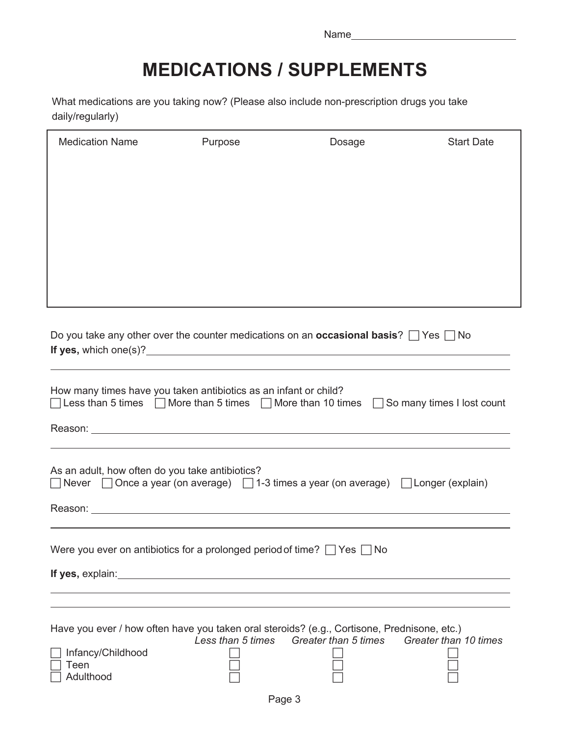## **MEDICATIONS / SUPPLEMENTS**

What medications are you taking now? (Please also include non-prescription drugs you take daily/regularly)

| <b>Medication Name</b>                                                                             | Purpose | Dosage                                                                                                  | <b>Start Date</b> |
|----------------------------------------------------------------------------------------------------|---------|---------------------------------------------------------------------------------------------------------|-------------------|
|                                                                                                    |         |                                                                                                         |                   |
|                                                                                                    |         |                                                                                                         |                   |
|                                                                                                    |         |                                                                                                         |                   |
|                                                                                                    |         |                                                                                                         |                   |
|                                                                                                    |         |                                                                                                         |                   |
|                                                                                                    |         |                                                                                                         |                   |
|                                                                                                    |         |                                                                                                         |                   |
|                                                                                                    |         |                                                                                                         |                   |
|                                                                                                    |         | Do you take any other over the counter medications on an <b>occasional basis</b> ? $\Box$ Yes $\Box$ No |                   |
|                                                                                                    |         |                                                                                                         |                   |
| How many times have you taken antibiotics as an infant or child?                                   |         |                                                                                                         |                   |
|                                                                                                    |         | □ Less than 5 times □ More than 5 times □ More than 10 times □ So many times I lost count               |                   |
|                                                                                                    |         |                                                                                                         |                   |
|                                                                                                    |         |                                                                                                         |                   |
| As an adult, how often do you take antibiotics?                                                    |         |                                                                                                         |                   |
| Never $\Box$ Once a year (on average) $\Box$ 1-3 times a year (on average) $\Box$ Longer (explain) |         |                                                                                                         |                   |
|                                                                                                    |         |                                                                                                         |                   |
|                                                                                                    |         |                                                                                                         |                   |
| Were you ever on antibiotics for a prolonged period of time? $\Box$ Yes $\Box$ No                  |         |                                                                                                         |                   |
|                                                                                                    |         |                                                                                                         |                   |
|                                                                                                    |         |                                                                                                         |                   |
|                                                                                                    |         | Have you ever / how often have you taken oral steroids? (e.g., Cortisone, Prednisone, etc.)             |                   |
|                                                                                                    |         | Less than 5 times Greater than 5 times Greater than 10 times                                            |                   |
| Infancy/Childhood<br>Teen                                                                          |         |                                                                                                         |                   |
| Adulthood                                                                                          |         |                                                                                                         |                   |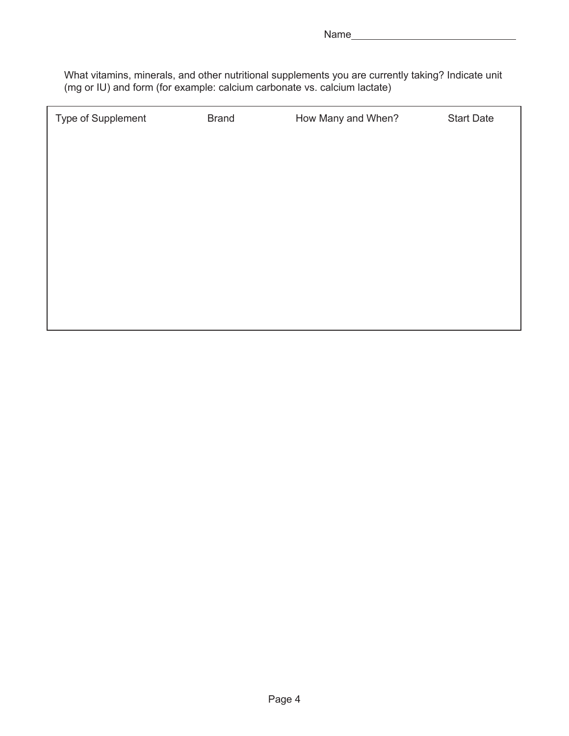What vitamins, minerals, and other nutritional supplements you are currently taking? Indicate unit (mg or IU) and form (for example: calcium carbonate vs. calcium lactate)

| Type of Supplement | <b>Brand</b> | How Many and When? | <b>Start Date</b> |
|--------------------|--------------|--------------------|-------------------|
|                    |              |                    |                   |
|                    |              |                    |                   |
|                    |              |                    |                   |
|                    |              |                    |                   |
|                    |              |                    |                   |
|                    |              |                    |                   |
|                    |              |                    |                   |
|                    |              |                    |                   |
|                    |              |                    |                   |
|                    |              |                    |                   |
|                    |              |                    |                   |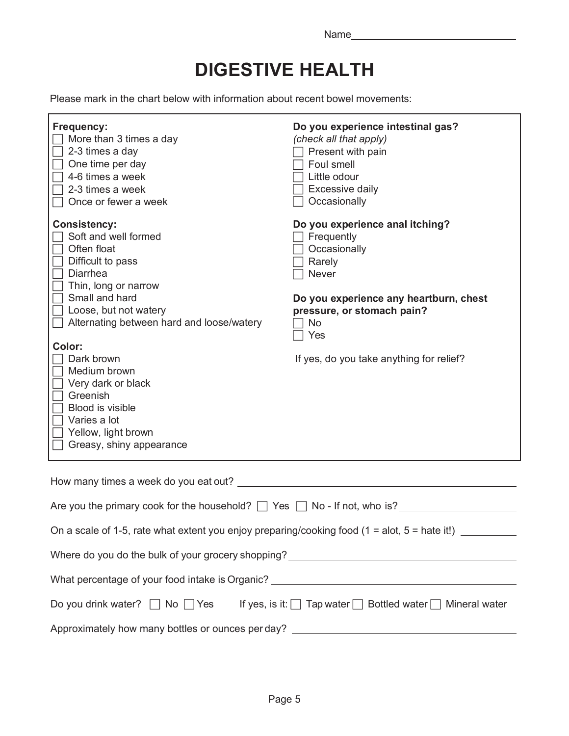## **DIGESTIVE HEALTH**

Please mark in the chart below with information about recent bowel movements:

| Frequency:<br>More than 3 times a day<br>2-3 times a day<br>One time per day<br>4-6 times a week<br>2-3 times a week<br>Once or fewer a week                                                                                                                                                                                                                                 | Do you experience intestinal gas?<br>(check all that apply)<br>Present with pain<br>Foul smell<br>Little odour<br><b>Excessive daily</b><br>Occasionally                                                                             |  |  |
|------------------------------------------------------------------------------------------------------------------------------------------------------------------------------------------------------------------------------------------------------------------------------------------------------------------------------------------------------------------------------|--------------------------------------------------------------------------------------------------------------------------------------------------------------------------------------------------------------------------------------|--|--|
| <b>Consistency:</b><br>Soft and well formed<br>Often float<br>Difficult to pass<br>Diarrhea<br>Thin, long or narrow<br>Small and hard<br>Loose, but not watery<br>Alternating between hard and loose/watery<br>Color:<br>Dark brown<br>Medium brown<br>Very dark or black<br>Greenish<br>Blood is visible<br>Varies a lot<br>Yellow, light brown<br>Greasy, shiny appearance | Do you experience anal itching?<br>$\sqsupset$ Frequently<br>Occasionally<br>Rarely<br>Never<br>Do you experience any heartburn, chest<br>pressure, or stomach pain?<br><b>No</b><br>Yes<br>If yes, do you take anything for relief? |  |  |
|                                                                                                                                                                                                                                                                                                                                                                              |                                                                                                                                                                                                                                      |  |  |
| Are you the primary cook for the household? $\Box$ Yes $\Box$ No - If not, who is?                                                                                                                                                                                                                                                                                           |                                                                                                                                                                                                                                      |  |  |
| On a scale of 1-5, rate what extent you enjoy preparing/cooking food (1 = alot, 5 = hate it!) $\perp$                                                                                                                                                                                                                                                                        |                                                                                                                                                                                                                                      |  |  |
| Where do you do the bulk of your grocery shopping? ______________________________                                                                                                                                                                                                                                                                                            |                                                                                                                                                                                                                                      |  |  |
| What percentage of your food intake is Organic? ________________________________                                                                                                                                                                                                                                                                                             |                                                                                                                                                                                                                                      |  |  |
| Do you drink water? $\Box$ No $\Box$ Yes<br>If yes, is it: □ Tap water □ Bottled water □ Mineral water                                                                                                                                                                                                                                                                       |                                                                                                                                                                                                                                      |  |  |

Approximately how many bottles or ounces per day? \_\_\_\_\_\_\_\_\_\_\_\_\_\_\_\_\_\_\_\_\_\_\_\_\_\_\_\_\_\_\_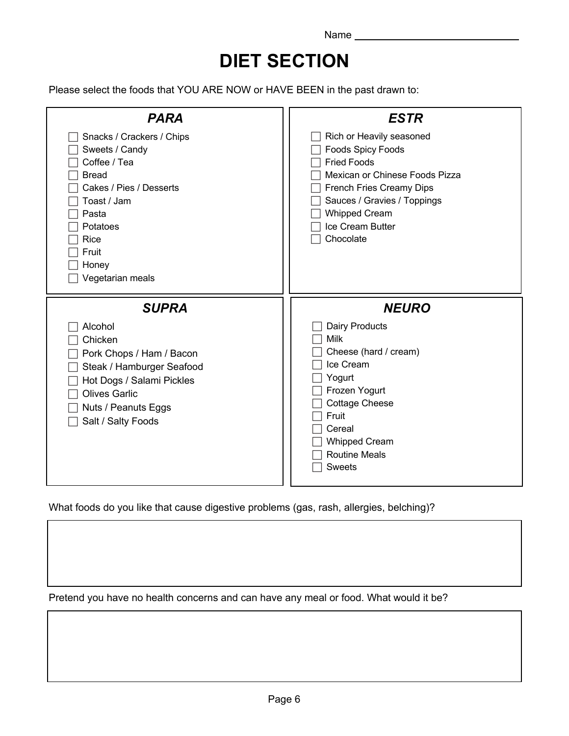## **DIET SECTION**

Please select the foods that YOU ARE NOW or HAVE BEEN in the past drawn to:

| <b>PARA</b>                                                                                                                                                                                   | <b>ESTR</b>                                                                                                                                                                                                                      |
|-----------------------------------------------------------------------------------------------------------------------------------------------------------------------------------------------|----------------------------------------------------------------------------------------------------------------------------------------------------------------------------------------------------------------------------------|
| Snacks / Crackers / Chips<br>Sweets / Candy<br>Coffee / Tea<br><b>Bread</b><br>Cakes / Pies / Desserts<br>Toast / Jam<br>Pasta<br>Potatoes<br>Rice<br>Fruit<br>Honey<br>Vegetarian meals      | Rich or Heavily seasoned<br><b>Foods Spicy Foods</b><br><b>Fried Foods</b><br>Mexican or Chinese Foods Pizza<br>French Fries Creamy Dips<br>Sauces / Gravies / Toppings<br><b>Whipped Cream</b><br>Ice Cream Butter<br>Chocolate |
| <b>SUPRA</b><br>Alcohol<br>Chicken<br>Pork Chops / Ham / Bacon<br>Steak / Hamburger Seafood<br>Hot Dogs / Salami Pickles<br><b>Olives Garlic</b><br>Nuts / Peanuts Eggs<br>Salt / Salty Foods | <b>NEURO</b><br><b>Dairy Products</b><br>Milk<br>Cheese (hard / cream)<br>Ice Cream<br>Yogurt<br>Frozen Yogurt<br><b>Cottage Cheese</b><br>Fruit<br>Cereal<br><b>Whipped Cream</b><br><b>Routine Meals</b><br><b>Sweets</b>      |

What foods do you like that cause digestive problems (gas, rash, allergies, belching)?

Pretend you have no health concerns and can have any meal or food. What would it be?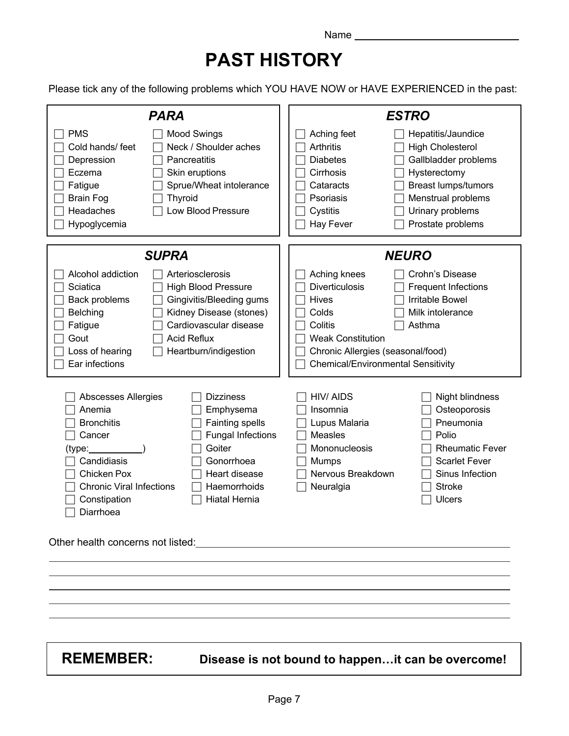## **PAST HISTORY**

Please tick any of the following problems which YOU HAVE NOW or HAVE EXPERIENCED in the past:

| <b>PARA</b>                                                                                                                                                                                                                                                                                                                                                                                                                                                                                                                                                                            | <b>ESTRO</b>                                                                                                                                                                                                                                                                                             |
|----------------------------------------------------------------------------------------------------------------------------------------------------------------------------------------------------------------------------------------------------------------------------------------------------------------------------------------------------------------------------------------------------------------------------------------------------------------------------------------------------------------------------------------------------------------------------------------|----------------------------------------------------------------------------------------------------------------------------------------------------------------------------------------------------------------------------------------------------------------------------------------------------------|
| <b>PMS</b><br><b>Mood Swings</b><br>Neck / Shoulder aches<br>Cold hands/ feet<br>Depression<br>Pancreatitis<br>Eczema<br>Skin eruptions<br>Sprue/Wheat intolerance<br>Fatigue<br><b>Brain Fog</b><br><b>Thyroid</b><br>Low Blood Pressure<br>Headaches<br>Hypoglycemia                                                                                                                                                                                                                                                                                                                 | Aching feet<br>Hepatitis/Jaundice<br>Arthritis<br><b>High Cholesterol</b><br>Gallbladder problems<br><b>Diabetes</b><br>Cirrhosis<br>Hysterectomy<br><b>Breast lumps/tumors</b><br>Cataracts<br>Psoriasis<br>Menstrual problems<br>Urinary problems<br>Cystitis<br><b>Hay Fever</b><br>Prostate problems |
| <b>SUPRA</b>                                                                                                                                                                                                                                                                                                                                                                                                                                                                                                                                                                           | <b>NEURO</b>                                                                                                                                                                                                                                                                                             |
| Alcohol addiction<br>Arteriosclerosis<br>Sciatica<br><b>High Blood Pressure</b><br>Back problems<br>Gingivitis/Bleeding gums<br>Kidney Disease (stones)<br><b>Belching</b><br>Cardiovascular disease<br>Fatigue<br><b>Acid Reflux</b><br>Gout<br>Heartburn/indigestion<br>Loss of hearing<br>Ear infections                                                                                                                                                                                                                                                                            | Aching knees<br>Crohn's Disease<br><b>Diverticulosis</b><br><b>Frequent Infections</b><br><b>Irritable Bowel</b><br><b>Hives</b><br>Colds<br>Milk intolerance<br>Colitis<br>Asthma<br><b>Weak Constitution</b><br>Chronic Allergies (seasonal/food)<br><b>Chemical/Environmental Sensitivity</b>         |
| Abscesses Allergies<br><b>Dizziness</b><br>Anemia<br>Emphysema<br><b>Bronchitis</b><br><b>Fainting spells</b><br><b>Fungal Infections</b><br>Cancer<br>Goiter<br>(type:_<br>Candidiasis<br>Gonorrhoea<br>Chicken Pox<br>Heart disease<br><b>Chronic Viral Infections</b><br>Haemorrhoids<br><b>Hiatal Hernia</b><br>Constipation<br>Diarrhoea<br>Other health concerns not listed:<br><u>Denote</u> the context of the context of the context of the context of the context of the context of the context of the context of the context of the context of the context of the context o | <b>HIV/AIDS</b><br>Night blindness<br>Insomnia<br>Osteoporosis<br>Pneumonia<br>Lupus Malaria<br>Measles<br>Polio<br>Mononucleosis<br><b>Rheumatic Fever</b><br><b>Scarlet Fever</b><br>Mumps<br>Nervous Breakdown<br>Sinus Infection<br>Neuralgia<br><b>Stroke</b><br><b>Ulcers</b>                      |
| <b>REMEMBER:</b>                                                                                                                                                                                                                                                                                                                                                                                                                                                                                                                                                                       | Disease is not bound to happenit can be overcome!                                                                                                                                                                                                                                                        |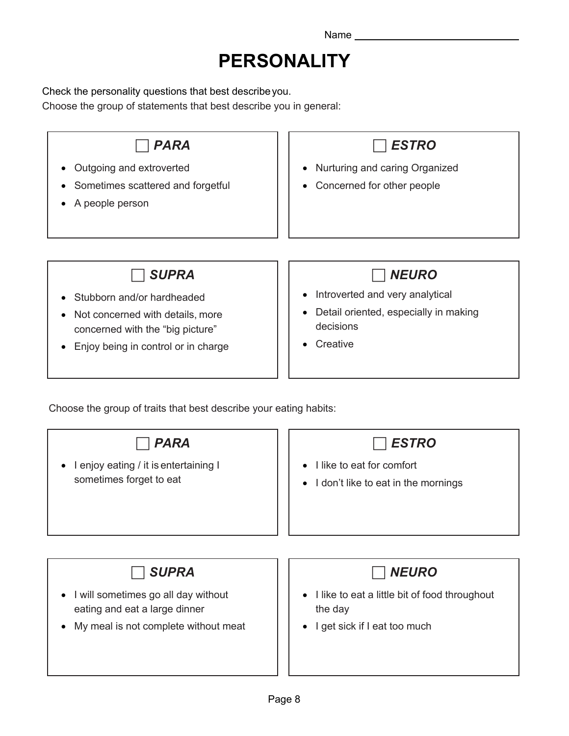## **PERSONALITY**

Check the personality questions that best describeyou.

Choose the group of statements that best describe you in general:

| <b>PARA</b><br>Outgoing and extroverted<br>Sometimes scattered and forgetful<br>A people person                                                                | <b>ESTRO</b><br>Nurturing and caring Organized<br>Concerned for other people                                                                             |
|----------------------------------------------------------------------------------------------------------------------------------------------------------------|----------------------------------------------------------------------------------------------------------------------------------------------------------|
| <b>SUPRA</b><br>Stubborn and/or hardheaded<br>Not concerned with details, more<br>٠<br>concerned with the "big picture"<br>Enjoy being in control or in charge | <b>NEURO</b><br>Introverted and very analytical<br>$\bullet$<br>Detail oriented, especially in making<br>$\bullet$<br>decisions<br>Creative<br>$\bullet$ |
| Choose the group of traits that best describe your eating habits:                                                                                              |                                                                                                                                                          |

| <b>PARA</b>                                                                       | <b>ESTRO</b>                                                                               |
|-----------------------------------------------------------------------------------|--------------------------------------------------------------------------------------------|
| I enjoy eating / it is entertaining I<br>٠<br>sometimes forget to eat             | I like to eat for comfort<br>$\bullet$<br>I don't like to eat in the mornings<br>$\bullet$ |
| <b>SUPRA</b>                                                                      | <b>NEURO</b>                                                                               |
| I will sometimes go all day without<br>$\bullet$<br>eating and eat a large dinner | I like to eat a little bit of food throughout<br>$\bullet$<br>the day                      |
| My meal is not complete without meat<br>٠                                         | I get sick if I eat too much<br>$\bullet$                                                  |